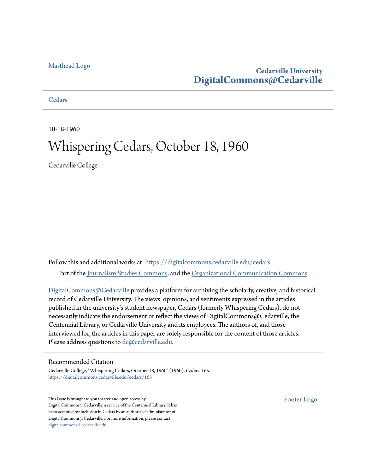## [Masthead Logo](http://www.cedarville.edu/?utm_source=digitalcommons.cedarville.edu%2Fcedars%2F165&utm_medium=PDF&utm_campaign=PDFCoverPages)

## **Cedarville University [DigitalCommons@Cedarville](https://digitalcommons.cedarville.edu?utm_source=digitalcommons.cedarville.edu%2Fcedars%2F165&utm_medium=PDF&utm_campaign=PDFCoverPages)**

**[Cedars](https://digitalcommons.cedarville.edu/cedars?utm_source=digitalcommons.cedarville.edu%2Fcedars%2F165&utm_medium=PDF&utm_campaign=PDFCoverPages)** 

10-18-1960

# Whispering Cedars, October 18, 1960

Cedarville College

Follow this and additional works at: [https://digitalcommons.cedarville.edu/cedars](https://digitalcommons.cedarville.edu/cedars?utm_source=digitalcommons.cedarville.edu%2Fcedars%2F165&utm_medium=PDF&utm_campaign=PDFCoverPages) Part of the [Journalism Studies Commons](http://network.bepress.com/hgg/discipline/333?utm_source=digitalcommons.cedarville.edu%2Fcedars%2F165&utm_medium=PDF&utm_campaign=PDFCoverPages), and the [Organizational Communication Commons](http://network.bepress.com/hgg/discipline/335?utm_source=digitalcommons.cedarville.edu%2Fcedars%2F165&utm_medium=PDF&utm_campaign=PDFCoverPages)

[DigitalCommons@Cedarville](http://digitalcommons.cedarville.edu/) provides a platform for archiving the scholarly, creative, and historical record of Cedarville University. The views, opinions, and sentiments expressed in the articles published in the university's student newspaper, Cedars (formerly Whispering Cedars), do not necessarily indicate the endorsement or reflect the views of DigitalCommons@Cedarville, the Centennial Library, or Cedarville University and its employees. The authors of, and those interviewed for, the articles in this paper are solely responsible for the content of those articles. Please address questions to [dc@cedarville.edu.](mailto:dc@cedarville.edu)

### Recommended Citation

Cedarville College, "Whispering Cedars, October 18, 1960" (1960). *Cedars*. 165. [https://digitalcommons.cedarville.edu/cedars/165](https://digitalcommons.cedarville.edu/cedars/165?utm_source=digitalcommons.cedarville.edu%2Fcedars%2F165&utm_medium=PDF&utm_campaign=PDFCoverPages)

This Issue is brought to you for free and open access by DigitalCommons@Cedarville, a service of the Centennial Library. It has been accepted for inclusion in Cedars by an authorized administrator of DigitalCommons@Cedarville. For more information, please contact [digitalcommons@cedarville.edu](mailto:digitalcommons@cedarville.edu).

[Footer Logo](http://www.cedarville.edu/Academics/Library.aspx?utm_source=digitalcommons.cedarville.edu%2Fcedars%2F165&utm_medium=PDF&utm_campaign=PDFCoverPages)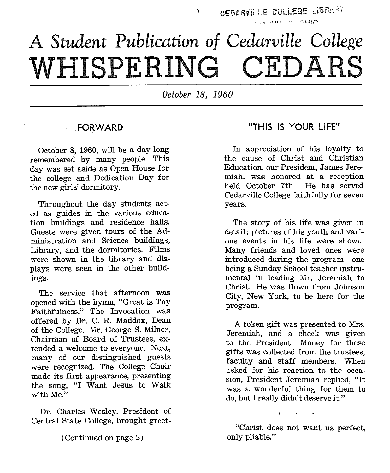# A *Student Publication of Cedarville College*  **WHISPERING CED RS**

*October 18, 1960* 

## FORWARD

October 8, 1960, will be a day long remembered by many people. This day was set aside as Open House for the college and Dedication Day for the new girls' dormitory.

Throughout the day students acted as guides in the various education buildings and residence halls. Guests were given tours of the Administration and Science buildings, Library, and the dormitories. Films were shown in the library and displays were seen in the other buildings.

The service that afternoon was opened with the hymn, "Great is Thy Faithfulness." The Invocation was offered by Dr. C. R. Maddox, Dean of the College. Mr. George S. Milner, Chairman of Board of Trustees, extended a welcome to everyone. Next, many of our distinguished guests were recognized. The College Choir made its first appearance, presenting the song, "I Want Jesus to Walk with Me."

Dr. Charles Wesley, President of Central State College, brought greet-

( Continued on page 2)

## "THIS IS YOUR LIFE''

In appreciation of his loyalty to the cause of Christ and Christian Education, our President, James Jeremiah, was honored at a reception held October 7th. He has served Cedarville College faithfully for seven years.

The story of his life was given in detail; pictures of his youth and various events in his life were shown. Many friends and loved ones were introduced during the program-one being a Sunday School teacher instrumental in leading Mr. Jeremiah to Christ. He was flown from Johnson City, New York, to be here for the program.

A token gift was presented to Mrs. Jeremiah, and a check was given to the President. Money for these gifts was collected from the trustees, faculty and staff members. When asked for his reaction to the occasion, President Jeremiah replied, "It was a wonderful thing for them to do, but I really didn't deserve it."

'" \* \*

"Christ does not want us perfect, only pliable."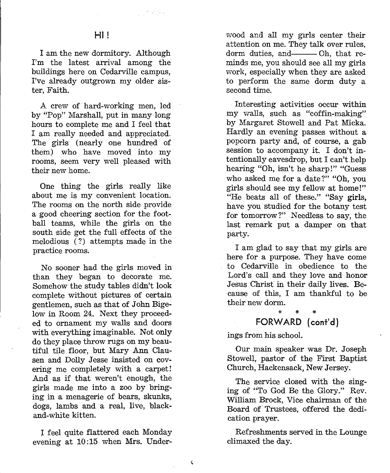int stiges

I am the new dormitory. Although I'm the latest arrival among the buildings here on Cedarville campus, I've already outgrown my older sister, Faith.

A crew of hard-working men, led by "Pop" Marshall, put in many long hours to complete me and I feel that I am really needed and appreciated. The girls (nearly one hundred of them) who have moved into my rooms, seem very well pleased with their new home.

One thing the girls really like about me is my convenient location. The rooms on the north side provide a good cheering section for the football teams, while the girls on the south side get the full· effects of the melodious (?) attempts made in the practice rooms.

No sooner had the girls moved in than they began to decorate me. Somehow the study tables didn't look complete without pictures of certain gentlemen, such as that of John Bigelow in Room 24. Next they proceeded to ornament my walls and doors with everything imaginable. Not only do they place throw rugs on my beautiful tile floor, but Mary Ann Clausen and Dolly Jesse insisted on covering me completely with a carpet! And as if that weren't enough, the girls made me into a zoo by bringing in a menagerie of bears, skunks, dogs, lambs and a real, live, blackand-white kitten.

I feel quite flattered each Monday evening at 10:15 when Mrs. Under-

 $\hat{\mathbf{v}}$ 

wood and all my girls center their<br>attention on me. They talk over rules,<br>dorm duties, and Oh, that re-

minds me, you should see all my girls<br>work, especially when they are asked<br>to perform the same dorm duty a<br>second time.<br>Interesting activities occur within<br>my walls, such as "coffin-making"<br>by Margaret Stowell and Pat Mick tentionally eavesdrop, but I can't help<br>hearing "Oh, isn't he sharp!" "Guess<br>who asked me for a date?" "Oh, you<br>girls should see my fellow at home!"<br>"He beats all of these." "Say girls,<br>have you studied for the botany test

cause of this, I am thankful to be their new dorm.

## FORWARD (cont'd)

ings from his school. Our main speaker was Dr. Joseph Stowell, pastor of the First Baptist Church, Hackensack, New Jersey. The service closed with the sing-

ing of "To God Be the Glory." Rev. William Brock, Vice chairman of the Board of Trustees, offered the dedi-

cation prayer. Refreshments served in the Lounge climaxed the day.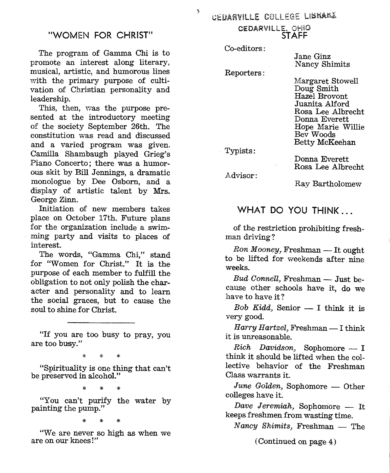### "WOMEN FOR CHRIST"

The program of Gamma Chi is to promote an interest along literary, musical, artistic, and humorous lines with the primary purpose of cultivation of Christian personality and leadership.

This, then, was the purpose presented at the introductory meeting of the society September 26th. The constitution was read and discussed and a varied program was given. Camilla Shambaugh played Grieg's Piano Concerto; there was a humorous skit by Bill Jennings, a dramatic monologue by Dee Osborn, and <sup>a</sup> display of artistic talent by Mrs. George Zinn.

Initiation of new members takes <sup>p</sup>lace on October 17th. Future plans for the organization include a swimming party and visits to places of interest.

The words, "Gamma Chi," stand for "Women for Christ." It is the purpose of each member to fulfill the obligation to not only polish the character and personality and to learn the social graces, but to cause the soul to shine for Christ.

"If you are too busy to pray, you are too busy."

\* \*

"Spirituality is one thing that can't be preserved in alcohol."

\* \* \*

"You can't purify the water by painting the pump."

\* \* \*

"We are never so high as when we are on our knees!"

CEDARVILLE. OHlO STAFF

Co-editors:

ð.

Reporters:

Jane Ginz Nancy Shimits

Margaret Stowell Doug Smith Hazel Brovont Juanita Alford Rosa Lee Albrecht Donna Everett Hope Marie Willie Bev Woods Betty McKeehan

Typists:

Donna Everett Rosa Lee Albrecht

Advisor:

Ray Bartholomew

## WHAT DO YOU THINK ...

of the restriction prohibiting freshman driving?

 $R$ on  $Mooney$ , Freshman - It ought to be lifted for weekends after nine weeks.

Bud Connell, Freshman - Just because other schools have it, do we have to have it?

Bob Kidd, Senior  $-$  I think it is very good.

Harry Hartzel, Freshman - I think it is unreasonable.

 $Rich$  Davidson, Sophomore  $- I$ think it should be lifted when the collective behavior of the Freshman Class warrants it.

June Golden, Sophomore - Other colleges have it.

Dave Jeremiah, Sophomore  $-$  It keeps freshmen from wasting time.

 $Nancy$  Shimits, Freshman  $-$  The

(Continued on page 4)